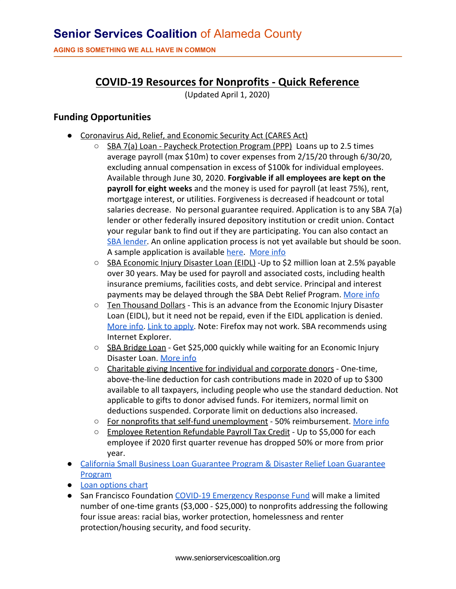**AGING IS SOMETHING WE ALL HAVE IN COMMON**

# **COVID-19 Resources for Nonprofits - Quick Reference**

(Updated April 1, 2020)

## **Funding Opportunities**

- Coronavirus Aid, Relief, and Economic Security Act (CARES Act)
	- SBA 7(a) Loan Paycheck Protection Program (PPP) Loans up to 2.5 times average payroll (max \$10m) to cover expenses from 2/15/20 through 6/30/20, excluding annual compensation in excess of \$100k for individual employees. Available through June 30, 2020. **Forgivable if all employees are kept on the payroll for eight weeks** and the money is used for payroll (at least 75%), rent, mortgage interest, or utilities. Forgiveness is decreased if headcount or total salaries decrease. No personal guarantee required. Application is to any SBA 7(a) lender or other federally insured depository institution or credit union. Contact your regular bank to find out if they are participating. You can also contact an [SBA lender](https://www.sba.gov/local-assistance/find/). An online application process is not yet available but should be soon. A sample application is available [here.](https://www.sba.gov/document/sba-form--paycheck-protection-program-ppp-sample-application-form) [More info](https://www.sba.gov/funding-programs/loans/paycheck-protection-program-ppp)
	- SBA Economic Injury Disaster Loan (EIDL) -Up to \$2 million loan at 2.5% payable over 30 years. May be used for payroll and associated costs, including health insurance premiums, facilities costs, and debt service. Principal and interest payments may be delayed through the SBA Debt Relief Program. [More info](https://www.sba.gov/page/coronavirus-covid-19-small-business-guidance-loan-resources)
	- Ten Thousand Dollars This is an advance from the Economic Injury Disaster Loan (EIDL), but it need not be repaid, even if the EIDL application is denied. [More info.](https://www.sba.gov/disaster-assistance/coronavirus-covid-19) [Link to apply](https://covid19relief.sba.gov/). Note: Firefox may not work. SBA recommends using Internet Explorer.
	- SBA Bridge Loan Get \$25,000 quickly while waiting for an Economic Injury Disaster Loan. [More info](https://www.sba.gov/page/coronavirus-covid-19-small-business-guidance-loan-resources#section-header-2)
	- Charitable giving Incentive for individual and corporate donors One-time, above-the-line deduction for cash contributions made in 2020 of up to \$300 available to all taxpayers, including people who use the standard deduction. Not applicable to gifts to donor advised funds. For itemizers, normal limit on deductions suspended. Corporate limit on deductions also increased.
	- For nonprofits that self-fund unemployment 50% reimbursement. [More info](https://www.councilofnonprofits.org/thought-leadership/self-insured-nonprofits-and-unemployment-insurance)
	- Employee Retention Refundable Payroll Tax Credit Up to \$5,000 for each employee if 2020 first quarter revenue has dropped 50% or more from prior year.
- [California Small Business Loan Guarantee Program & Disaster Relief Loan Guarantee](https://www.ibank.ca.gov/small-business-finance-center/) **[Program](https://www.ibank.ca.gov/small-business-finance-center/)**
- [Loan options chart](https://www.councilofnonprofits.org/sites/default/files/documents/cares-act-loan-options-for-nonprofits.pdf)
- San Francisco Foundation [COVID-19 Emergency Response Fund](https://sff.org/for-nonprofits-apply-for-a-grant-from-the-sff-covid-19-emergency-response-fund/) will make a limited number of one-time grants (\$3,000 - \$25,000) to nonprofits addressing the following four issue areas: racial bias, worker protection, homelessness and renter protection/housing security, and food security.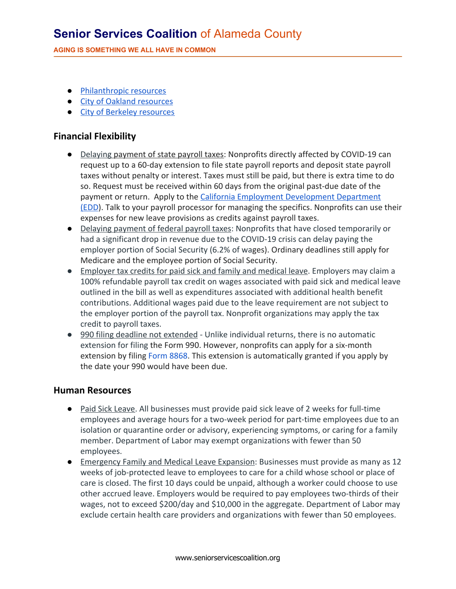# **Senior Services Coalition** of Alameda County

**AGING IS SOMETHING WE ALL HAVE IN COMMON**

- [Philanthropic resources](https://www.philanthropyca.org/covid-19-response)
- [City of Oakland resources](https://www.oaklandca.gov/news/2020/city-of-oakland-outlines-small-business-workforce-support-to-mitigate-impacts-of-covid-19)
- [City of Berkeley resources](https://berkeleyrelieffund.org/)

#### **Financial Flexibility**

- Delaying payment of state payroll taxes: Nonprofits directly affected by COVID-19 can request up to a 60-day extension to file state payroll reports and deposit state payroll taxes without penalty or interest. Taxes must still be paid, but there is extra time to do so. Request must be received within 60 days from the original past-due date of the payment or return. Apply to the [California Employment Development Department](http://clicks.memberclicks-mail.net/ls/click?upn=pR45NVTXRr2edOmjbCNXb58I58HaroN3LYz-2BIE2Dm8a09JU6qbf-2BoHjZkMxgLI3AaKIazf6C35RCz212ESz2IXvXWFj52KDrBhpy26S-2Bsp-2FmYs9ZfkNfPR-2F1Zvp0PYw0b2oj_rxG9ljSnJPiMQpWBoKMzyfVhal5euwllf4qmw6sV8ItGJW3TOXthJkxuC1IWJu7I-2FF5taDk5eyS6kh3cG-2Fd0UTmB-2FSpyxsr9agLzJR0srI1ReZc-2B0Sq9UFAYJCCDqiLk0sCLZkYJoplyd4EaExFSOuRWxL2v6I3Wg-2FCGQUQf6SqolwfDyoP-2FCZDjtN4S3MsliHgWhYddsC-2FLqlYXPLEn8GRdtsuPxBj5oWi7lUpm18uVjcGuZFcilM2ZCVQBZ54VDG48r43Rts7B4UYbKVEc2EI1yhCa0Q37yWJA202K6Dds674G10csIiHsktFrUVXpzdhTkDUf-2BR-2FyXr-2FHMGk3pbgGYlBXiL-2F1Z0bK7F2HWVj1vRFg-2B569HCpLYPMvct3S) [\(EDD](http://clicks.memberclicks-mail.net/ls/click?upn=pR45NVTXRr2edOmjbCNXb58I58HaroN3LYz-2BIE2Dm8a09JU6qbf-2BoHjZkMxgLI3AaKIazf6C35RCz212ESz2IXvXWFj52KDrBhpy26S-2Bsp-2FmYs9ZfkNfPR-2F1Zvp0PYw0b2oj_rxG9ljSnJPiMQpWBoKMzyfVhal5euwllf4qmw6sV8ItGJW3TOXthJkxuC1IWJu7I-2FF5taDk5eyS6kh3cG-2Fd0UTmB-2FSpyxsr9agLzJR0srI1ReZc-2B0Sq9UFAYJCCDqiLk0sCLZkYJoplyd4EaExFSOuRWxL2v6I3Wg-2FCGQUQf6SqolwfDyoP-2FCZDjtN4S3MsliHgWhYddsC-2FLqlYXPLEn8GRdtsuPxBj5oWi7lUpm18uVjcGuZFcilM2ZCVQBZ54VDG48r43Rts7B4UYbKVEc2EI1yhCa0Q37yWJA202K6Dds674G10csIiHsktFrUVXpzdhTkDUf-2BR-2FyXr-2FHMGk3pbgGYlBXiL-2F1Z0bK7F2HWVj1vRFg-2B569HCpLYPMvct3S)). Talk to your payroll processor for managing the specifics. Nonprofits can use their expenses for new leave provisions as credits against payroll taxes.
- Delaying payment of federal payroll taxes: Nonprofits that have closed temporarily or had a significant drop in revenue due to the COVID-19 crisis can delay paying the employer portion of Social Security (6.2% of wages). Ordinary deadlines still apply for Medicare and the employee portion of Social Security.
- Employer tax credits for paid sick and family and medical leave. Employers may claim a 100% refundable payroll tax credit on wages associated with paid sick and medical leave outlined in the bill as well as expenditures associated with additional health benefit contributions. Additional wages paid due to the leave requirement are not subject to the employer portion of the payroll tax. Nonprofit organizations may apply the tax credit to payroll taxes.
- 990 filing deadline not extended Unlike individual returns, there is no automatic extension for filing the Form 990. However, nonprofits can apply for a six-month extension by filing [Form 8868.](http://clicks.memberclicks-mail.net/ls/click?upn=pR45NVTXRr2edOmjbCNXb58I58HaroN3LYz-2BIE2Dm8a09JU6qbf-2BoHjZkMxgLI3AaKIazf6C35RCz212ESz2IXvXWFj52KDrBhpy26S-2Bsp-2B84hNvUSuG7pBjgAcG0HhlXNFF_rxG9ljSnJPiMQpWBoKMzyfVhal5euwllf4qmw6sV8ItGJW3TOXthJkxuC1IWJu7I-2FF5taDk5eyS6kh3cG-2Fd0UTmB-2FSpyxsr9agLzJR0srI1ReZc-2B0Sq9UFAYJCCDqiLk0sCLZkYJoplyd4EaExFSOuRWxL2v6I3Wg-2FCGQUQf6SqolwfDyoP-2FCZDjtN4S3Msl8DqZgk769zPBbvSurHFmy0Hydby9IjRPzOD7qbVj04NImwSOe3TQYoKpW1HneDyfjUfzMg-2FnKDnIyQLAxzHC50pZiKYUW4oc7qqFLWbtcZfyH8MVPuTOn9xN2OdV3XIhVpikm2Zg3GFHOGnCgnPipuZhvToqEGSwV-2B-2FVNUiu6q-2BUdumFKxfjsoCqpjllWxpu) This extension is automatically granted if you apply by the date your 990 would have been due.

#### **Human Resources**

- Paid Sick Leave. All businesses must provide paid sick leave of 2 weeks for full-time employees and average hours for a two-week period for part-time employees due to an isolation or quarantine order or advisory, experiencing symptoms, or caring for a family member. Department of Labor may exempt organizations with fewer than 50 employees.
- Emergency Family and Medical Leave Expansion: Businesses must provide as many as 12 weeks of job-protected leave to employees to care for a child whose school or place of care is closed. The first 10 days could be unpaid, although a worker could choose to use other accrued leave. Employers would be required to pay employees two-thirds of their wages, not to exceed \$200/day and \$10,000 in the aggregate. Department of Labor may exclude certain health care providers and organizations with fewer than 50 employees.